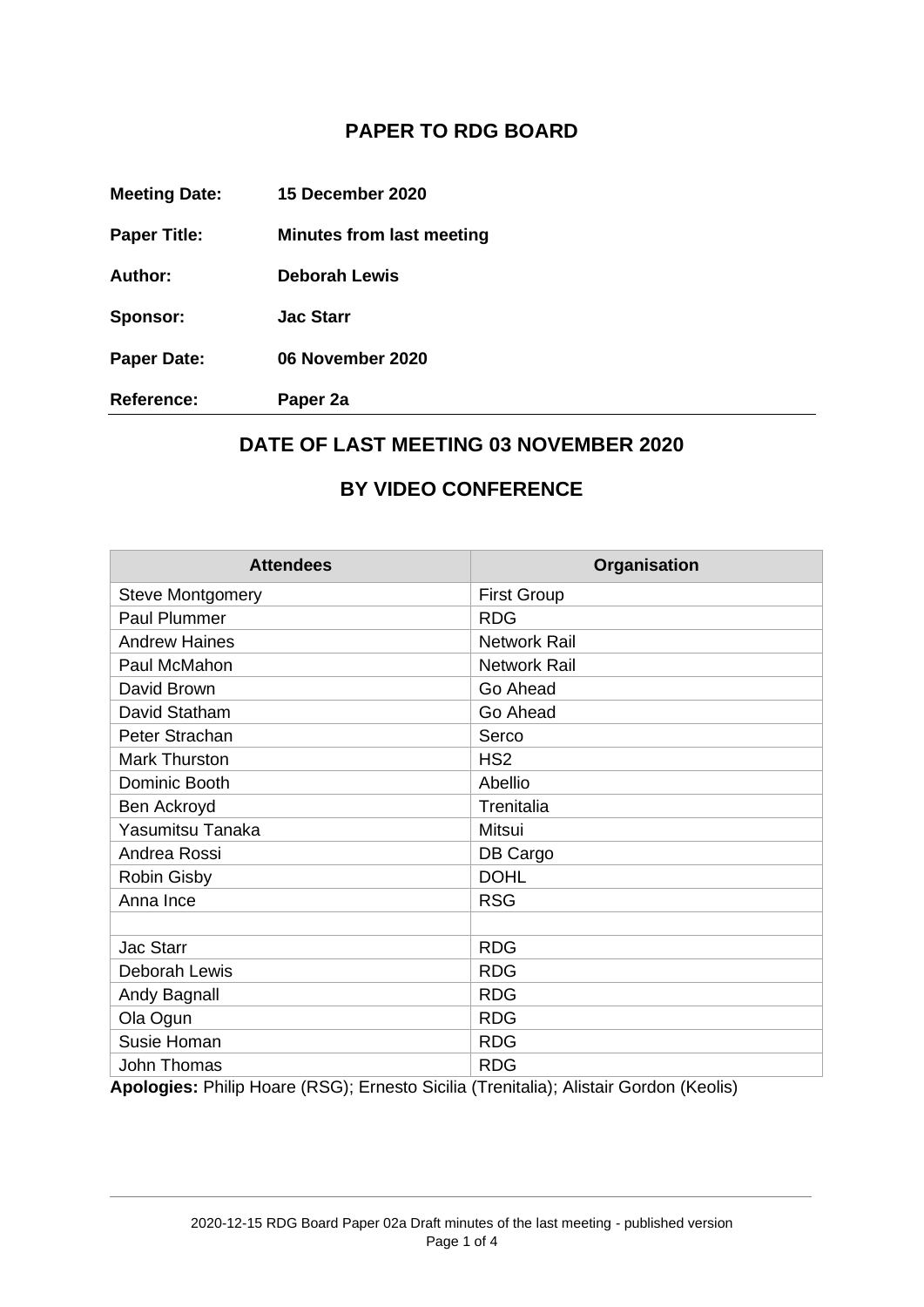## **PAPER TO RDG BOARD**

| <b>Meeting Date:</b> | 15 December 2020                 |
|----------------------|----------------------------------|
| <b>Paper Title:</b>  | <b>Minutes from last meeting</b> |
| Author:              | <b>Deborah Lewis</b>             |
| Sponsor:             | <b>Jac Starr</b>                 |
| <b>Paper Date:</b>   | 06 November 2020                 |
| <b>Reference:</b>    | Paper 2a                         |

## **DATE OF LAST MEETING 03 NOVEMBER 2020**

## **BY VIDEO CONFERENCE**

| <b>Attendees</b>                                                                                     | Organisation        |
|------------------------------------------------------------------------------------------------------|---------------------|
| <b>Steve Montgomery</b>                                                                              | <b>First Group</b>  |
| Paul Plummer                                                                                         | <b>RDG</b>          |
| <b>Andrew Haines</b>                                                                                 | <b>Network Rail</b> |
| Paul McMahon                                                                                         | <b>Network Rail</b> |
| David Brown                                                                                          | Go Ahead            |
| David Statham                                                                                        | Go Ahead            |
| Peter Strachan                                                                                       | Serco               |
| <b>Mark Thurston</b>                                                                                 | HS <sub>2</sub>     |
| Dominic Booth                                                                                        | Abellio             |
| Ben Ackroyd                                                                                          | Trenitalia          |
| Yasumitsu Tanaka                                                                                     | Mitsui              |
| Andrea Rossi                                                                                         | DB Cargo            |
| <b>Robin Gisby</b>                                                                                   | <b>DOHL</b>         |
| Anna Ince                                                                                            | <b>RSG</b>          |
|                                                                                                      |                     |
| Jac Starr                                                                                            | <b>RDG</b>          |
| Deborah Lewis                                                                                        | <b>RDG</b>          |
| Andy Bagnall                                                                                         | <b>RDG</b>          |
| Ola Ogun                                                                                             | <b>RDG</b>          |
| Susie Homan                                                                                          | <b>RDG</b>          |
| John Thomas<br>Analogiac: Dhilin Heere (DCC): Erneste Sieilie (Trenitalia): Alistoir Cerden (Keelia) | <b>RDG</b>          |

**Apologies:** Philip Hoare (RSG); Ernesto Sicilia (Trenitalia); Alistair Gordon (Keolis)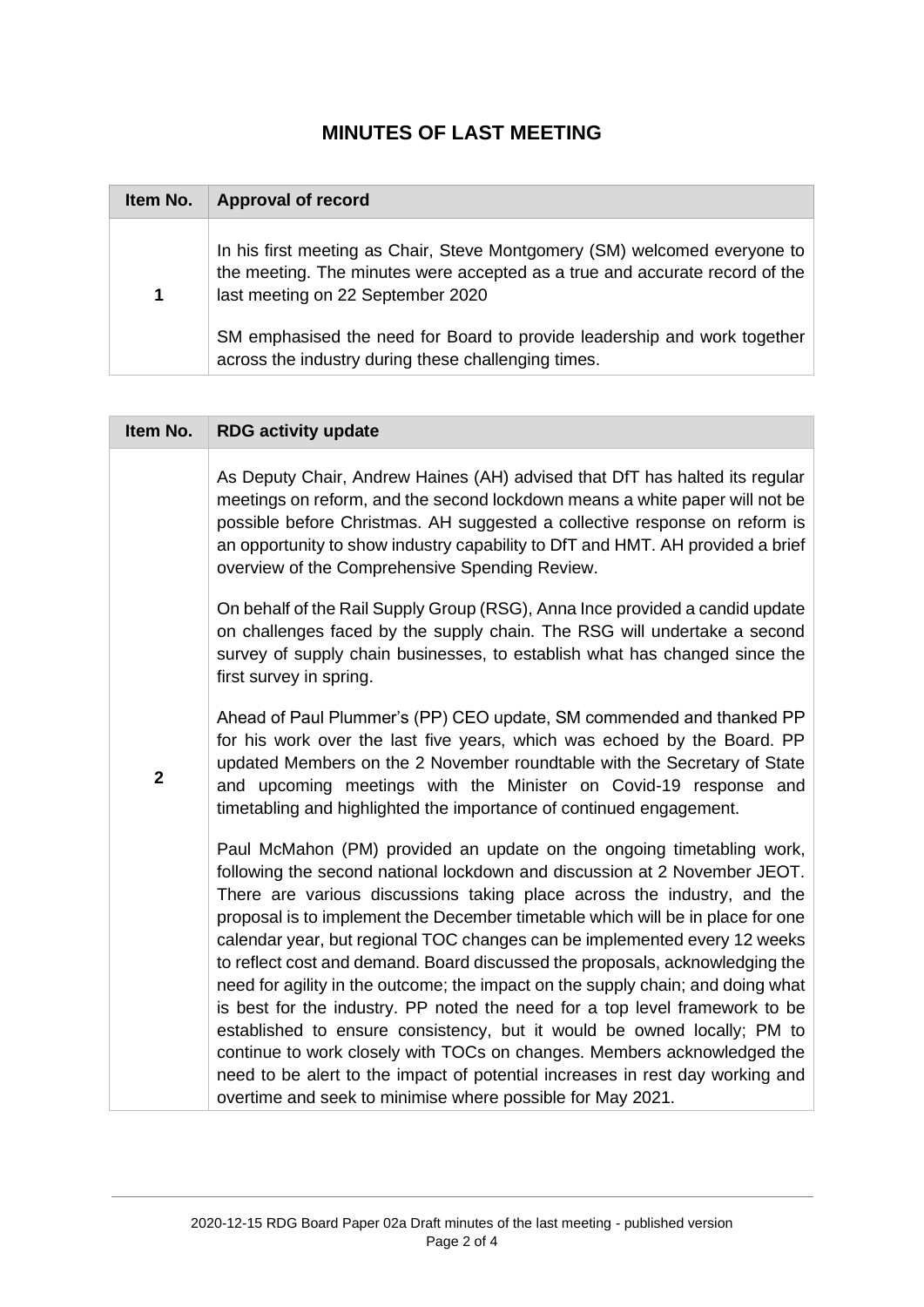## **MINUTES OF LAST MEETING**

| Item No. | <b>Approval of record</b>                                                                                                                                                                     |
|----------|-----------------------------------------------------------------------------------------------------------------------------------------------------------------------------------------------|
| 1        | In his first meeting as Chair, Steve Montgomery (SM) welcomed everyone to<br>the meeting. The minutes were accepted as a true and accurate record of the<br>last meeting on 22 September 2020 |
|          | SM emphasised the need for Board to provide leadership and work together<br>across the industry during these challenging times.                                                               |

| Item No.       | <b>RDG activity update</b>                                                                                                                                                                                                                                                                                                                                                                                                                                                                                                                                                                                                                                                                                                                                                                                                                                                                                                                          |
|----------------|-----------------------------------------------------------------------------------------------------------------------------------------------------------------------------------------------------------------------------------------------------------------------------------------------------------------------------------------------------------------------------------------------------------------------------------------------------------------------------------------------------------------------------------------------------------------------------------------------------------------------------------------------------------------------------------------------------------------------------------------------------------------------------------------------------------------------------------------------------------------------------------------------------------------------------------------------------|
|                | As Deputy Chair, Andrew Haines (AH) advised that DfT has halted its regular<br>meetings on reform, and the second lockdown means a white paper will not be<br>possible before Christmas. AH suggested a collective response on reform is<br>an opportunity to show industry capability to DfT and HMT. AH provided a brief<br>overview of the Comprehensive Spending Review.                                                                                                                                                                                                                                                                                                                                                                                                                                                                                                                                                                        |
|                | On behalf of the Rail Supply Group (RSG), Anna Ince provided a candid update<br>on challenges faced by the supply chain. The RSG will undertake a second<br>survey of supply chain businesses, to establish what has changed since the<br>first survey in spring.                                                                                                                                                                                                                                                                                                                                                                                                                                                                                                                                                                                                                                                                                   |
| $\overline{2}$ | Ahead of Paul Plummer's (PP) CEO update, SM commended and thanked PP<br>for his work over the last five years, which was echoed by the Board. PP<br>updated Members on the 2 November roundtable with the Secretary of State<br>and upcoming meetings with the Minister on Covid-19 response and<br>timetabling and highlighted the importance of continued engagement.                                                                                                                                                                                                                                                                                                                                                                                                                                                                                                                                                                             |
|                | Paul McMahon (PM) provided an update on the ongoing timetabling work,<br>following the second national lockdown and discussion at 2 November JEOT.<br>There are various discussions taking place across the industry, and the<br>proposal is to implement the December timetable which will be in place for one<br>calendar year, but regional TOC changes can be implemented every 12 weeks<br>to reflect cost and demand. Board discussed the proposals, acknowledging the<br>need for agility in the outcome; the impact on the supply chain; and doing what<br>is best for the industry. PP noted the need for a top level framework to be<br>established to ensure consistency, but it would be owned locally; PM to<br>continue to work closely with TOCs on changes. Members acknowledged the<br>need to be alert to the impact of potential increases in rest day working and<br>overtime and seek to minimise where possible for May 2021. |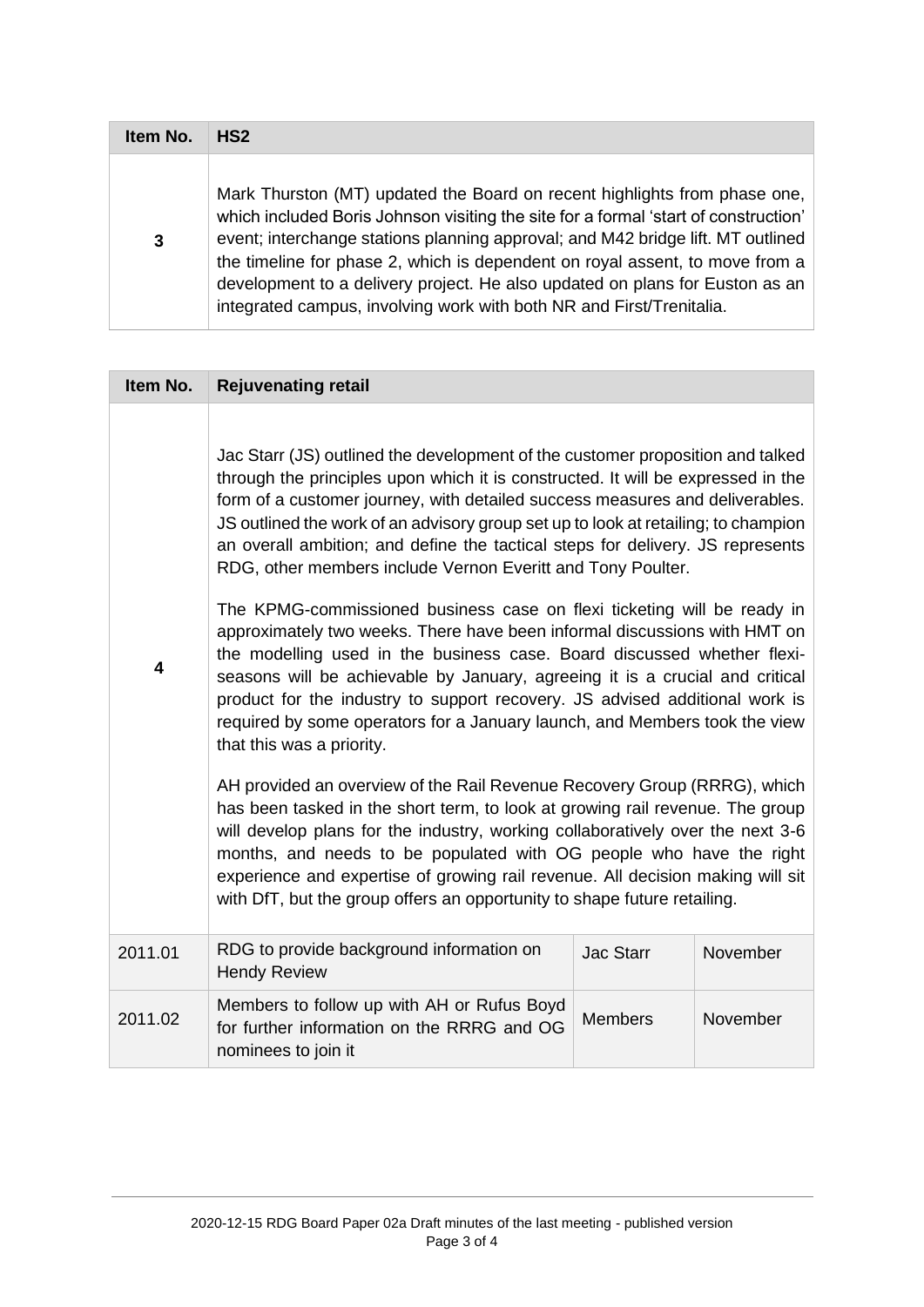| Item No. | HS <sub>2</sub>                                                                                                                                                                                                                                                                                                                                                                                                                                                                             |
|----------|---------------------------------------------------------------------------------------------------------------------------------------------------------------------------------------------------------------------------------------------------------------------------------------------------------------------------------------------------------------------------------------------------------------------------------------------------------------------------------------------|
| 3        | Mark Thurston (MT) updated the Board on recent highlights from phase one,<br>which included Boris Johnson visiting the site for a formal 'start of construction'<br>event; interchange stations planning approval; and M42 bridge lift. MT outlined<br>the timeline for phase 2, which is dependent on royal assent, to move from a<br>development to a delivery project. He also updated on plans for Euston as an<br>integrated campus, involving work with both NR and First/Trenitalia. |

| Item No.                | <b>Rejuvenating retail</b>                                                                                                                                                                                                                                                                                                                                                                                                                                                                                                                                                                                                                                                                                                                                                                                                                                                                                                                                                                                                                                                                                                                                                                                                                                                                                                                                                                                                                                                                 |                  |          |
|-------------------------|--------------------------------------------------------------------------------------------------------------------------------------------------------------------------------------------------------------------------------------------------------------------------------------------------------------------------------------------------------------------------------------------------------------------------------------------------------------------------------------------------------------------------------------------------------------------------------------------------------------------------------------------------------------------------------------------------------------------------------------------------------------------------------------------------------------------------------------------------------------------------------------------------------------------------------------------------------------------------------------------------------------------------------------------------------------------------------------------------------------------------------------------------------------------------------------------------------------------------------------------------------------------------------------------------------------------------------------------------------------------------------------------------------------------------------------------------------------------------------------------|------------------|----------|
| $\overline{\mathbf{4}}$ | Jac Starr (JS) outlined the development of the customer proposition and talked<br>through the principles upon which it is constructed. It will be expressed in the<br>form of a customer journey, with detailed success measures and deliverables.<br>JS outlined the work of an advisory group set up to look at retailing; to champion<br>an overall ambition; and define the tactical steps for delivery. JS represents<br>RDG, other members include Vernon Everitt and Tony Poulter.<br>The KPMG-commissioned business case on flexi ticketing will be ready in<br>approximately two weeks. There have been informal discussions with HMT on<br>the modelling used in the business case. Board discussed whether flexi-<br>seasons will be achievable by January, agreeing it is a crucial and critical<br>product for the industry to support recovery. JS advised additional work is<br>required by some operators for a January launch, and Members took the view<br>that this was a priority.<br>AH provided an overview of the Rail Revenue Recovery Group (RRRG), which<br>has been tasked in the short term, to look at growing rail revenue. The group<br>will develop plans for the industry, working collaboratively over the next 3-6<br>months, and needs to be populated with OG people who have the right<br>experience and expertise of growing rail revenue. All decision making will sit<br>with DfT, but the group offers an opportunity to shape future retailing. |                  |          |
| 2011.01                 | RDG to provide background information on<br><b>Hendy Review</b>                                                                                                                                                                                                                                                                                                                                                                                                                                                                                                                                                                                                                                                                                                                                                                                                                                                                                                                                                                                                                                                                                                                                                                                                                                                                                                                                                                                                                            | <b>Jac Starr</b> | November |
| 2011.02                 | Members to follow up with AH or Rufus Boyd<br>for further information on the RRRG and OG<br>nominees to join it                                                                                                                                                                                                                                                                                                                                                                                                                                                                                                                                                                                                                                                                                                                                                                                                                                                                                                                                                                                                                                                                                                                                                                                                                                                                                                                                                                            | <b>Members</b>   | November |